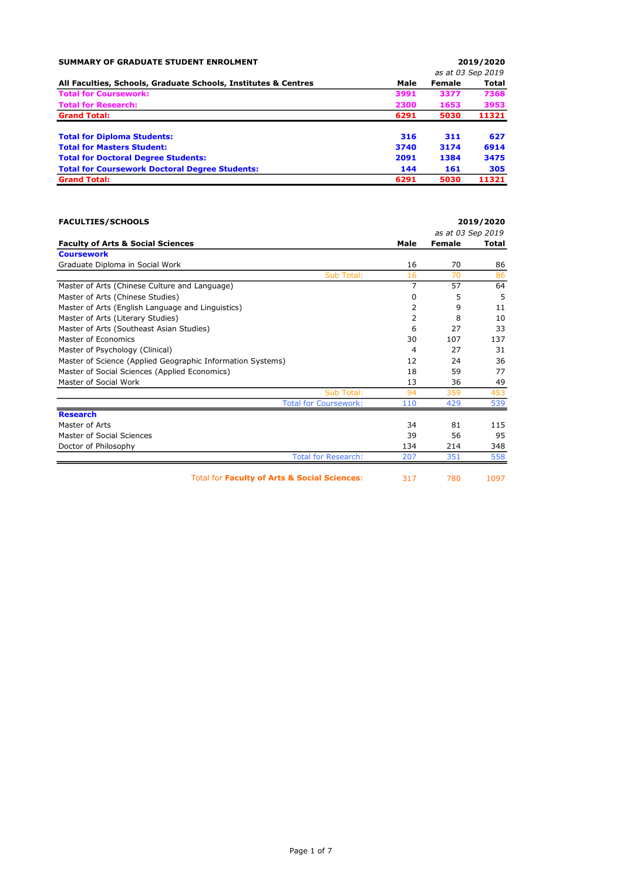| <b>SUMMARY OF GRADUATE STUDENT ENROLMENT</b>                   |      |        | 2019/2020         |
|----------------------------------------------------------------|------|--------|-------------------|
|                                                                |      |        | as at 03 Sep 2019 |
| All Faculties, Schools, Graduate Schools, Institutes & Centres | Male | Female | <b>Total</b>      |
| <b>Total for Coursework:</b>                                   | 3991 | 3377   | 7368              |
| <b>Total for Research:</b>                                     | 2300 | 1653   | 3953              |
| <b>Grand Total:</b>                                            | 6291 | 5030   | 11321             |
| <b>Total for Diploma Students:</b>                             | 316  | 311    | 627               |
| <b>Total for Masters Student:</b>                              | 3740 | 3174   | 6914              |
| <b>Total for Doctoral Degree Students:</b>                     | 2091 | 1384   | 3475              |
| <b>Total for Coursework Doctoral Degree Students:</b>          | 144  | 161    | 305               |
| <b>Grand Total:</b>                                            | 6291 | 5030   | 11321             |

| <b>FACULTIES/SCHOOLS</b>                                   |      |                   | 2019/2020 |
|------------------------------------------------------------|------|-------------------|-----------|
|                                                            |      | as at 03 Sep 2019 |           |
| <b>Faculty of Arts &amp; Social Sciences</b>               | Male | Female            | Total     |
| <b>Coursework</b>                                          |      |                   |           |
| Graduate Diploma in Social Work                            | 16   | 70                | 86        |
| Sub Total:                                                 | 16   | 70                | 86        |
| Master of Arts (Chinese Culture and Language)              | 7    | 57                | 64        |
| Master of Arts (Chinese Studies)                           | 0    | 5                 | 5         |
| Master of Arts (English Language and Linguistics)          | 2    | 9                 | 11        |
| Master of Arts (Literary Studies)                          | 2    | 8                 | 10        |
| Master of Arts (Southeast Asian Studies)                   | 6    | 27                | 33        |
| Master of Economics                                        | 30   | 107               | 137       |
| Master of Psychology (Clinical)                            | 4    | 27                | 31        |
| Master of Science (Applied Geographic Information Systems) | 12   | 24                | 36        |
| Master of Social Sciences (Applied Economics)              | 18   | 59                | 77        |
| Master of Social Work                                      | 13   | 36                | 49        |
| Sub Total:                                                 | 94   | 359               | 453       |
| <b>Total for Coursework:</b>                               | 110  | 429               | 539       |
| <b>Research</b>                                            |      |                   |           |
| Master of Arts                                             | 34   | 81                | 115       |
| Master of Social Sciences                                  | 39   | 56                | 95        |
| Doctor of Philosophy                                       | 134  | 214               | 348       |
| <b>Total for Research:</b>                                 | 207  | 351               | 558       |
| Total for Faculty of Arts & Social Sciences:               | 317  | 780               | 1097      |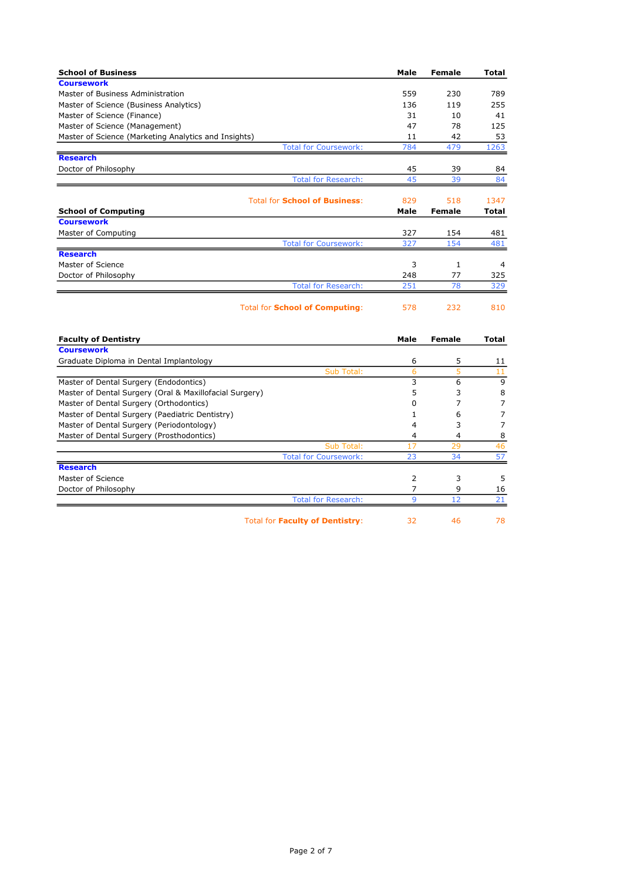| <b>School of Business</b>                               | Male         | <b>Female</b>  | Total          |
|---------------------------------------------------------|--------------|----------------|----------------|
| <b>Coursework</b>                                       |              |                |                |
| Master of Business Administration                       | 559          | 230            | 789            |
| Master of Science (Business Analytics)                  | 136          | 119            | 255            |
| Master of Science (Finance)                             | 31           | 10             | 41             |
| Master of Science (Management)                          | 47           | 78             | 125            |
| Master of Science (Marketing Analytics and Insights)    | 11           | 42             | 53             |
| <b>Total for Coursework:</b>                            | 784          | 479            | 1263           |
| <b>Research</b>                                         |              |                |                |
| Doctor of Philosophy                                    | 45           | 39             | 84             |
| <b>Total for Research:</b>                              | 45           | 39             | 84             |
| <b>Total for School of Business:</b>                    | 829          | 518            | 1347           |
| <b>School of Computing</b>                              | Male         | <b>Female</b>  | Total          |
| <b>Coursework</b>                                       |              |                |                |
| Master of Computing                                     | 327          | 154            | 481            |
| <b>Total for Coursework:</b>                            | 327          | 154            | 481            |
| <b>Research</b>                                         |              |                |                |
| Master of Science                                       | 3            | 1              | 4              |
| Doctor of Philosophy                                    | 248          | 77             | 325            |
| <b>Total for Research:</b>                              | 251          | 78             | 329            |
|                                                         |              |                |                |
| <b>Total for School of Computing:</b>                   | 578          | 232            | 810            |
| <b>Faculty of Dentistry</b>                             | Male         | <b>Female</b>  | Total          |
| <b>Coursework</b>                                       |              |                |                |
| Graduate Diploma in Dental Implantology                 | 6            | 5              | 11             |
| Sub Total:                                              | 6            | 5              | 11             |
| Master of Dental Surgery (Endodontics)                  | 3            | 6              | 9              |
| Master of Dental Surgery (Oral & Maxillofacial Surgery) | 5            | 3              | 8              |
| Master of Dental Surgery (Orthodontics)                 | $\Omega$     | $\overline{7}$ | $\overline{7}$ |
| Master of Dental Surgery (Paediatric Dentistry)         | 1            | 6              | $\overline{7}$ |
| Master of Dental Surgery (Periodontology)               | 4            | 3              | $\overline{7}$ |
| Master of Dental Surgery (Prosthodontics)               | 4            | 4              | 8              |
| Sub Total:                                              | 17           | 29             | 46             |
| <b>Total for Coursework:</b>                            | 23           | 34             | 57             |
| <b>Research</b>                                         |              |                |                |
| Master of Science                                       | 2            | 3              | 5              |
| Doctor of Philosophy                                    | 7            | 9              | 16             |
| <b>Total for Research:</b>                              | $\mathbf{q}$ | 12             | 21             |

Total for Faculty of Dentistry: 32 46 78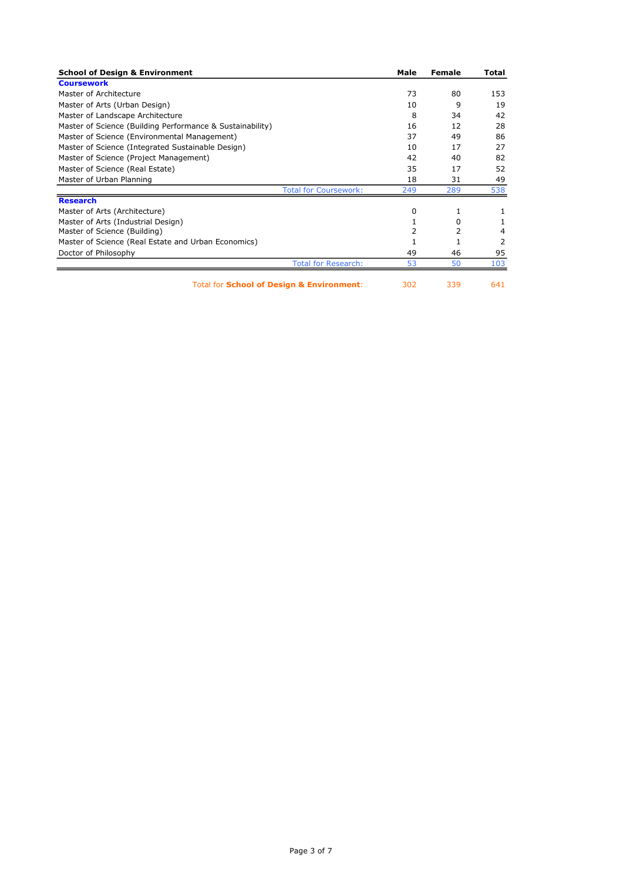| <b>School of Design &amp; Environment</b>                 | Male | Female | Total |
|-----------------------------------------------------------|------|--------|-------|
| <b>Coursework</b>                                         |      |        |       |
| Master of Architecture                                    | 73   | 80     | 153   |
| Master of Arts (Urban Design)                             | 10   | 9      | 19    |
| Master of Landscape Architecture                          | 8    | 34     | 42    |
| Master of Science (Building Performance & Sustainability) | 16   | 12     | 28    |
| Master of Science (Environmental Management)              | 37   | 49     | 86    |
| Master of Science (Integrated Sustainable Design)         | 10   | 17     | 27    |
| Master of Science (Project Management)                    | 42   | 40     | 82    |
| Master of Science (Real Estate)                           | 35   | 17     | 52    |
| Master of Urban Planning                                  | 18   | 31     | 49    |
| <b>Total for Coursework:</b>                              | 249  | 289    | 538   |
| <b>Research</b>                                           |      |        |       |
| Master of Arts (Architecture)                             | 0    | 1      |       |
| Master of Arts (Industrial Design)                        |      | 0      |       |
| Master of Science (Building)                              | 2    | 2      | 4     |
| Master of Science (Real Estate and Urban Economics)       |      | 1      | 2     |
| Doctor of Philosophy                                      | 49   | 46     | 95    |
| <b>Total for Research:</b>                                | 53   | 50     | 103   |
| <b>Total for School of Design &amp; Environment:</b>      | 302  | 339    | 641   |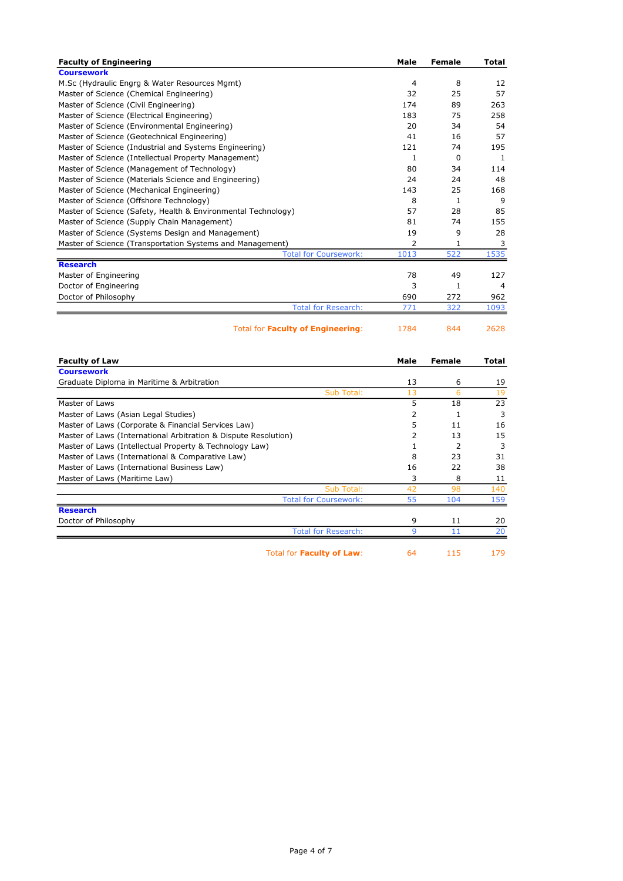| <b>Faculty of Engineering</b>                                 | Male           | <b>Female</b> | Total        |
|---------------------------------------------------------------|----------------|---------------|--------------|
| <b>Coursework</b>                                             |                |               |              |
| M.Sc (Hydraulic Engrg & Water Resources Mgmt)                 | 4              | 8             | 12           |
| Master of Science (Chemical Engineering)                      | 32             | 25            | 57           |
| Master of Science (Civil Engineering)                         | 174            | 89            | 263          |
| Master of Science (Electrical Engineering)                    | 183            | 75            | 258          |
| Master of Science (Environmental Engineering)                 | 20             | 34            | 54           |
| Master of Science (Geotechnical Engineering)                  | 41             | 16            | 57           |
| Master of Science (Industrial and Systems Engineering)        | 121            | 74            | 195          |
| Master of Science (Intellectual Property Management)          | 1              | $\Omega$      | $\mathbf{1}$ |
| Master of Science (Management of Technology)                  | 80             | 34            | 114          |
| Master of Science (Materials Science and Engineering)         | 24             | 24            | 48           |
| Master of Science (Mechanical Engineering)                    | 143            | 25            | 168          |
| Master of Science (Offshore Technology)                       | 8              | 1             | 9            |
| Master of Science (Safety, Health & Environmental Technology) | 57             | 28            | 85           |
| Master of Science (Supply Chain Management)                   | 81             | 74            | 155          |
| Master of Science (Systems Design and Management)             | 19             | 9             | 28           |
| Master of Science (Transportation Systems and Management)     | $\overline{2}$ | 1             | 3            |
| <b>Total for Coursework:</b>                                  | 1013           | 522           | 1535         |
| <b>Research</b>                                               |                |               |              |
| Master of Engineering                                         | 78             | 49            | 127          |
| Doctor of Engineering                                         | 3              | 1             | 4            |
| Doctor of Philosophy                                          | 690            | 272           | 962          |
| <b>Total for Research:</b>                                    | 771            | 322           | 1093         |
| Total for Faculty of Engineering:                             | 1784           | 844           | 2628         |

| <b>Faculty of Law</b>                                           | Male | Female | Total |
|-----------------------------------------------------------------|------|--------|-------|
| <b>Coursework</b>                                               |      |        |       |
| Graduate Diploma in Maritime & Arbitration                      | 13   | 6      | 19    |
| Sub Total:                                                      | 13   | 6      | 19    |
| Master of Laws                                                  | 5    | 18     | 23    |
| Master of Laws (Asian Legal Studies)                            | 2    |        | 3     |
| Master of Laws (Corporate & Financial Services Law)             | 5    | 11     | 16    |
| Master of Laws (International Arbitration & Dispute Resolution) | 2    | 13     | 15    |
| Master of Laws (Intellectual Property & Technology Law)         |      | 2      | 3     |
| Master of Laws (International & Comparative Law)                | 8    | 23     | 31    |
| Master of Laws (International Business Law)                     | 16   | 22     | 38    |
| Master of Laws (Maritime Law)                                   | 3    | 8      | 11    |
| Sub Total:                                                      | 42   | 98     | 140   |
| <b>Total for Coursework:</b>                                    | 55   | 104    | 159   |
| <b>Research</b>                                                 |      |        |       |
| Doctor of Philosophy                                            | 9    | 11     | 20    |
| <b>Total for Research:</b>                                      | 9    | 11     | 20    |
| Total for Faculty of Law:                                       | 64   | 115    | 179   |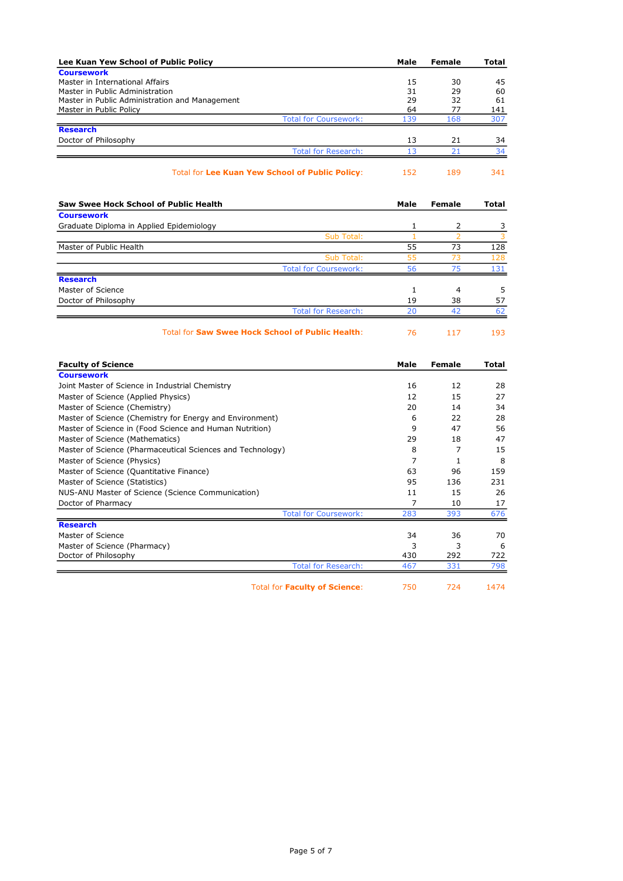| Lee Kuan Yew School of Public Policy                   | Male | Female | <b>Total</b> |
|--------------------------------------------------------|------|--------|--------------|
| <b>Coursework</b>                                      |      |        |              |
| Master in International Affairs                        | 15   | 30     | 45           |
| Master in Public Administration                        | 31   | 29     | 60           |
| Master in Public Administration and Management         | 29   | 32     | 61           |
| Master in Public Policy                                |      | 77     | 141          |
| <b>Total for Coursework:</b>                           | 139  | 168    | 307          |
| <b>Research</b>                                        |      |        |              |
| Doctor of Philosophy                                   | 13   | 21     | 34           |
| <b>Total for Research:</b>                             | 13   | 21     | 34           |
| <b>Total for Lee Kuan Yew School of Public Policy:</b> | 152  | 189    | 341          |

| Saw Swee Hock School of Public Health    |                                                         | Male | Female | <b>Total</b> |
|------------------------------------------|---------------------------------------------------------|------|--------|--------------|
| <b>Coursework</b>                        |                                                         |      |        |              |
| Graduate Diploma in Applied Epidemiology |                                                         |      | 2      | 3            |
|                                          | Sub Total:                                              |      |        | 3            |
| Master of Public Health                  |                                                         | 55   | 73     | 128          |
|                                          | Sub Total:                                              | 55   | 73     | 128          |
|                                          | <b>Total for Coursework:</b>                            | 56   | 75     | 131          |
| <b>Research</b>                          |                                                         |      |        |              |
| Master of Science                        |                                                         |      | 4      | 5            |
| Doctor of Philosophy                     |                                                         | 19   | 38     | 57           |
|                                          | <b>Total for Research:</b>                              | 20   | 42     | 62           |
|                                          | <b>Total for Saw Swee Hock School of Public Health:</b> | 76   | 117    | 193          |

| <b>Faculty of Science</b>                                  | Male | Female | Total |
|------------------------------------------------------------|------|--------|-------|
| <b>Coursework</b>                                          |      |        |       |
| Joint Master of Science in Industrial Chemistry            | 16   | 12     | 28    |
| Master of Science (Applied Physics)                        | 12   | 15     | 27    |
| Master of Science (Chemistry)                              | 20   | 14     | 34    |
| Master of Science (Chemistry for Energy and Environment)   | 6    | 22     | 28    |
| Master of Science in (Food Science and Human Nutrition)    | 9    | 47     | 56    |
| Master of Science (Mathematics)                            | 29   | 18     | 47    |
| Master of Science (Pharmaceutical Sciences and Technology) | 8    | 7      | 15    |
| Master of Science (Physics)                                | 7    | 1      | 8     |
| Master of Science (Quantitative Finance)                   | 63   | 96     | 159   |
| Master of Science (Statistics)                             | 95   | 136    | 231   |
| NUS-ANU Master of Science (Science Communication)          | 11   | 15     | 26    |
| Doctor of Pharmacy                                         | 7    | 10     | 17    |
| <b>Total for Coursework:</b>                               | 283  | 393    | 676   |
| <b>Research</b>                                            |      |        |       |
| Master of Science                                          | 34   | 36     | 70    |
| Master of Science (Pharmacy)                               | 3    | 3      | 6     |
| Doctor of Philosophy                                       | 430  | 292    | 722   |
| <b>Total for Research:</b>                                 | 467  | 331    | 798   |
| <b>Total for Faculty of Science:</b>                       | 750  | 724    | 1474  |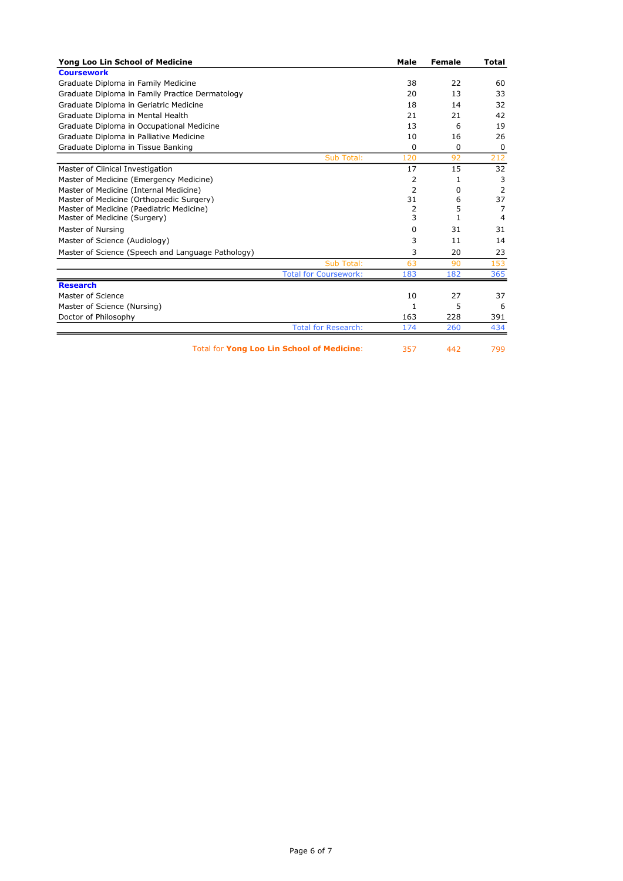| Yong Loo Lin School of Medicine                   | Male | <b>Female</b> | Total |
|---------------------------------------------------|------|---------------|-------|
| <b>Coursework</b>                                 |      |               |       |
| Graduate Diploma in Family Medicine               | 38   | 22            | 60    |
| Graduate Diploma in Family Practice Dermatology   | 20   | 13            | 33    |
| Graduate Diploma in Geriatric Medicine            | 18   | 14            | 32    |
| Graduate Diploma in Mental Health                 | 21   | 21            | 42    |
| Graduate Diploma in Occupational Medicine         | 13   | 6             | 19    |
| Graduate Diploma in Palliative Medicine           | 10   | 16            | 26    |
| Graduate Diploma in Tissue Banking                | 0    | 0             | 0     |
| Sub Total:                                        | 120  | 92            | 212   |
| Master of Clinical Investigation                  | 17   | 15            | 32    |
| Master of Medicine (Emergency Medicine)           | 2    | 1             | 3     |
| Master of Medicine (Internal Medicine)            | 2    | 0             | 2     |
| Master of Medicine (Orthopaedic Surgery)          | 31   | 6             | 37    |
| Master of Medicine (Paediatric Medicine)          | 2    | 5             | 7     |
| Master of Medicine (Surgery)                      | 3    | 1             | 4     |
| Master of Nursing                                 | 0    | 31            | 31    |
| Master of Science (Audiology)                     | 3    | 11            | 14    |
| Master of Science (Speech and Language Pathology) | 3    | 20            | 23    |
| Sub Total:                                        | 63   | 90            | 153   |
| <b>Total for Coursework:</b>                      | 183  | 182           | 365   |
| <b>Research</b>                                   |      |               |       |
| Master of Science                                 | 10   | 27            | 37    |
| Master of Science (Nursing)                       | 1    | 5             | 6     |
| Doctor of Philosophy                              | 163  | 228           | 391   |
| <b>Total for Research:</b>                        | 174  | 260           | 434   |
| <b>Total for Yong Loo Lin School of Medicine:</b> | 357  | 442           | 799   |